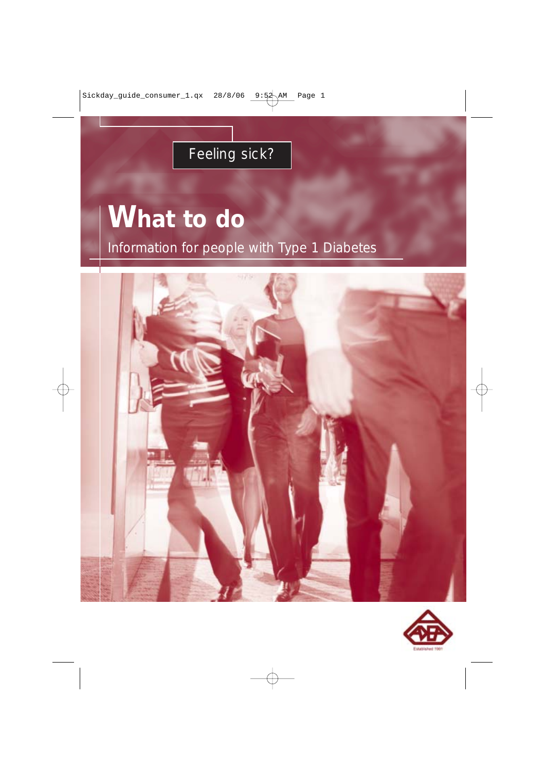## Feeling sick?

# **What to do** Information for people with Type 1 Diabetes



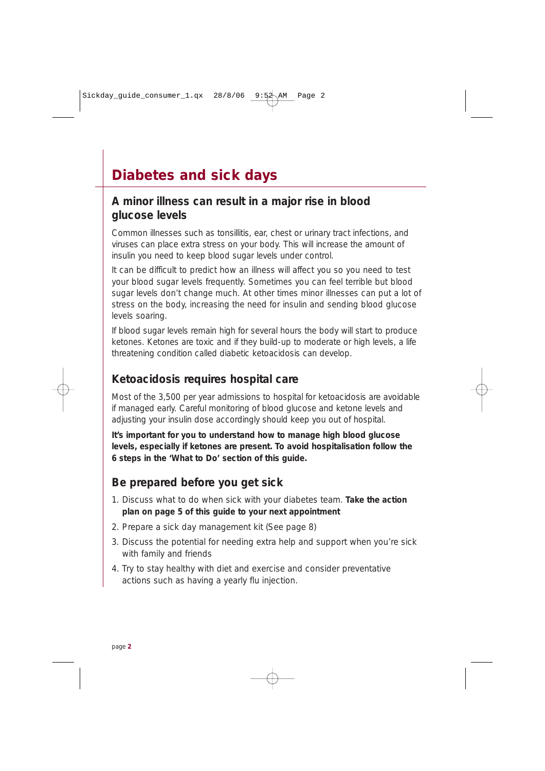## **Diabetes and sick days**

#### **A minor illness can result in a major rise in blood glucose levels**

Common illnesses such as tonsillitis, ear, chest or urinary tract infections, and viruses can place extra stress on your body. This will increase the amount of insulin you need to keep blood sugar levels under control.

It can be difficult to predict how an illness will affect you so you need to test your blood sugar levels frequently. Sometimes you can feel terrible but blood sugar levels don't change much. At other times minor illnesses can put a lot of stress on the body, increasing the need for insulin and sending blood glucose levels soaring.

If blood sugar levels remain high for several hours the body will start to produce ketones. Ketones are toxic and if they build-up to moderate or high levels, a life threatening condition called diabetic ketoacidosis can develop.

#### **Ketoacidosis requires hospital care**

Most of the 3,500 per year admissions to hospital for ketoacidosis are avoidable if managed early. Careful monitoring of blood glucose and ketone levels and adjusting your insulin dose accordingly should keep you out of hospital.

**It's important for you to understand how to manage high blood glucose levels, especially if ketones are present. To avoid hospitalisation follow the 6 steps in the 'What to Do' section of this guide.**

#### **Be prepared before you get sick**

- 1. Discuss what to do when sick with your diabetes team. **Take the action plan on page 5 of this guide to your next appointment**
- 2. Prepare a sick day management kit (See page 8)
- 3. Discuss the potential for needing extra help and support when you're sick with family and friends
- 4. Try to stay healthy with diet and exercise and consider preventative actions such as having a yearly flu injection.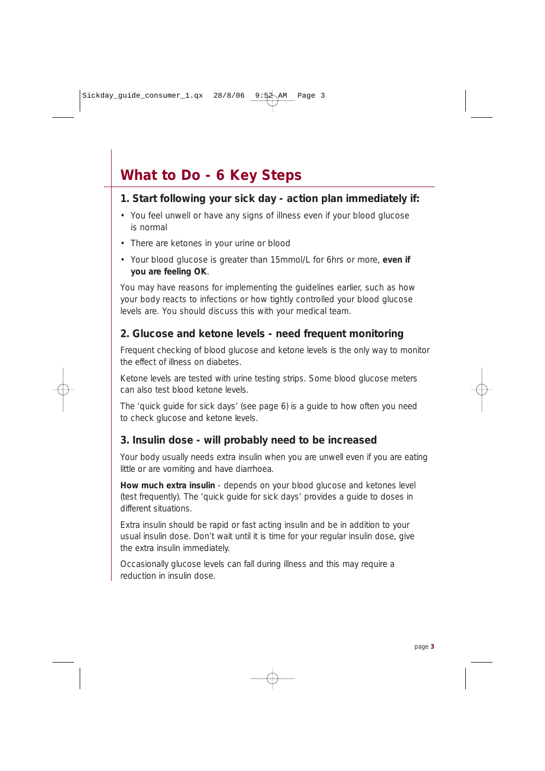## **What to Do - 6 Key Steps**

#### **1. Start following your sick day - action plan immediately if:**

- You feel unwell or have any signs of illness even if your blood glucose is normal
- There are ketones in your urine or blood
- Your blood glucose is greater than 15mmol/L for 6hrs or more, **even if you are feeling OK**.

You may have reasons for implementing the guidelines earlier, such as how your body reacts to infections or how tightly controlled your blood glucose levels are. You should discuss this with your medical team.

#### **2. Glucose and ketone levels - need frequent monitoring**

Frequent checking of blood glucose and ketone levels is the only way to monitor the effect of illness on diabetes.

Ketone levels are tested with urine testing strips. Some blood glucose meters can also test blood ketone levels.

The 'quick guide for sick days' (see page 6) is a guide to how often you need to check glucose and ketone levels.

#### **3. Insulin dose - will probably need to be increased**

Your body usually needs extra insulin when you are unwell even if you are eating little or are vomiting and have diarrhoea.

**How much extra insulin** - depends on your blood glucose and ketones level (test frequently). The 'quick guide for sick days' provides a guide to doses in different situations.

Extra insulin should be rapid or fast acting insulin and be in addition to your usual insulin dose. Don't wait until it is time for your regular insulin dose, give the extra insulin immediately.

Occasionally glucose levels can fall during illness and this may require a reduction in insulin dose.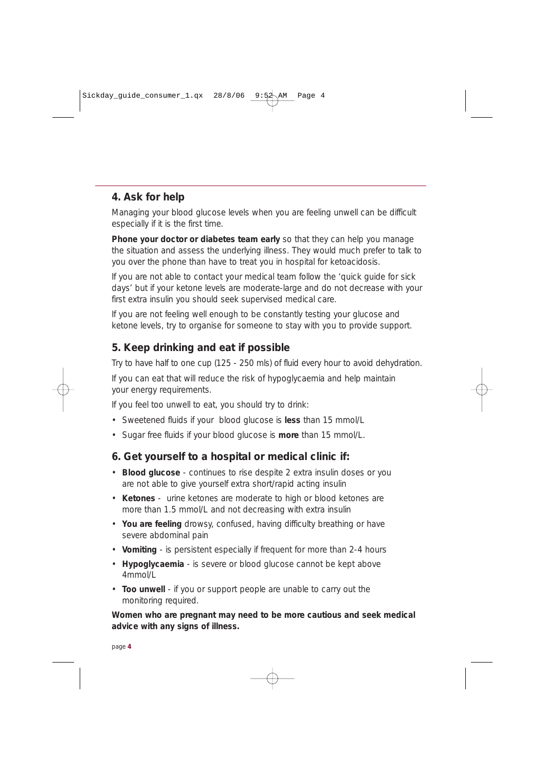#### **4. Ask for help**

Managing your blood glucose levels when you are feeling unwell can be difficult especially if it is the first time.

**Phone your doctor or diabetes team early** so that they can help you manage the situation and assess the underlying illness. They would much prefer to talk to you over the phone than have to treat you in hospital for ketoacidosis.

If you are not able to contact your medical team follow the 'quick guide for sick days' but if your ketone levels are moderate-large and do not decrease with your first extra insulin you should seek supervised medical care.

If you are not feeling well enough to be constantly testing your glucose and ketone levels, try to organise for someone to stay with you to provide support.

#### **5. Keep drinking and eat if possible**

Try to have half to one cup (125 - 250 mls) of fluid every hour to avoid dehydration.

If you can eat that will reduce the risk of hypoglycaemia and help maintain your energy requirements.

If you feel too unwell to eat, you should try to drink:

- Sweetened fluids if your blood glucose is **less** than 15 mmol/L
- Sugar free fluids if your blood glucose is **more** than 15 mmol/L.

#### **6. Get yourself to a hospital or medical clinic if:**

- **Blood glucose** continues to rise despite 2 extra insulin doses or you are not able to give yourself extra short/rapid acting insulin
- **Ketones**  urine ketones are moderate to high or blood ketones are more than 1.5 mmol/L and not decreasing with extra insulin
- **You are feeling** drowsy, confused, having difficulty breathing or have severe abdominal pain
- **Vomiting** is persistent especially if frequent for more than 2-4 hours
- **Hypoglycaemia** is severe or blood glucose cannot be kept above 4mmol/L
- **Too unwell** if you or support people are unable to carry out the monitoring required.

**Women who are pregnant may need to be more cautious and seek medical advice with any signs of illness.**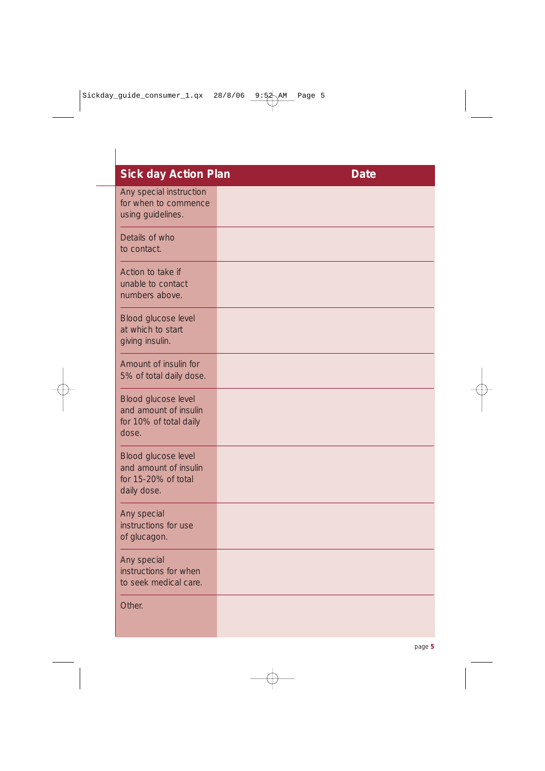| <b>Sick day Action Plan</b>                                                        | <b>Date</b> |
|------------------------------------------------------------------------------------|-------------|
| Any special instruction<br>for when to commence<br>using guidelines.               |             |
| Details of who<br>to contact.                                                      |             |
| Action to take if<br>unable to contact<br>numbers above.                           |             |
| Blood glucose level<br>at which to start<br>giving insulin.                        |             |
| Amount of insulin for<br>5% of total daily dose.                                   |             |
| Blood glucose level<br>and amount of insulin<br>for 10% of total daily<br>dose.    |             |
| Blood glucose level<br>and amount of insulin<br>for 15-20% of total<br>daily dose. |             |
| Any special<br>instructions for use<br>of glucagon.                                |             |
| Any special<br>instructions for when<br>to seek medical care.                      |             |
| Other.                                                                             |             |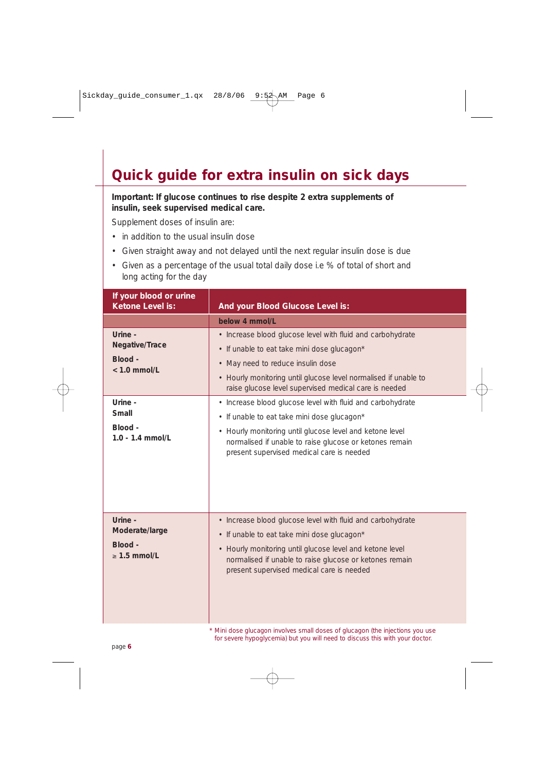### **Quick guide for extra insulin on sick days**

**Important: If glucose continues to rise despite 2 extra supplements of insulin, seek supervised medical care.** 

Supplement doses of insulin are:

- in addition to the usual insulin dose
- Given straight away and not delayed until the next regular insulin dose is due
- Given as a percentage of the usual total daily dose i.e % of total of short and long acting for the day

| If your blood or urine<br>Ketone Level is:                | And your Blood Glucose Level is:                                                                                                                                                                                                                                              |  |  |
|-----------------------------------------------------------|-------------------------------------------------------------------------------------------------------------------------------------------------------------------------------------------------------------------------------------------------------------------------------|--|--|
|                                                           | below 4 mmol/l                                                                                                                                                                                                                                                                |  |  |
| Urine -<br>Negative/Trace<br>Blood -<br>$< 1.0$ mmol/L    | • Increase blood glucose level with fluid and carbohydrate<br>• If unable to eat take mini dose glucagon*<br>• May need to reduce insulin dose<br>• Hourly monitoring until glucose level normalised if unable to<br>raise glucose level supervised medical care is needed    |  |  |
| Urine -<br>Small<br>Blood -<br>$1.0 - 1.4$ mmol/L         | • Increase blood glucose level with fluid and carbohydrate<br>• If unable to eat take mini dose glucagon*<br>• Hourly monitoring until glucose level and ketone level<br>normalised if unable to raise glucose or ketones remain<br>present supervised medical care is needed |  |  |
| Urine -<br>Moderate/large<br>Blood -<br>$\geq 1.5$ mmol/L | • Increase blood glucose level with fluid and carbohydrate<br>• If unable to eat take mini dose glucagon*<br>• Hourly monitoring until glucose level and ketone level<br>normalised if unable to raise glucose or ketones remain<br>present supervised medical care is needed |  |  |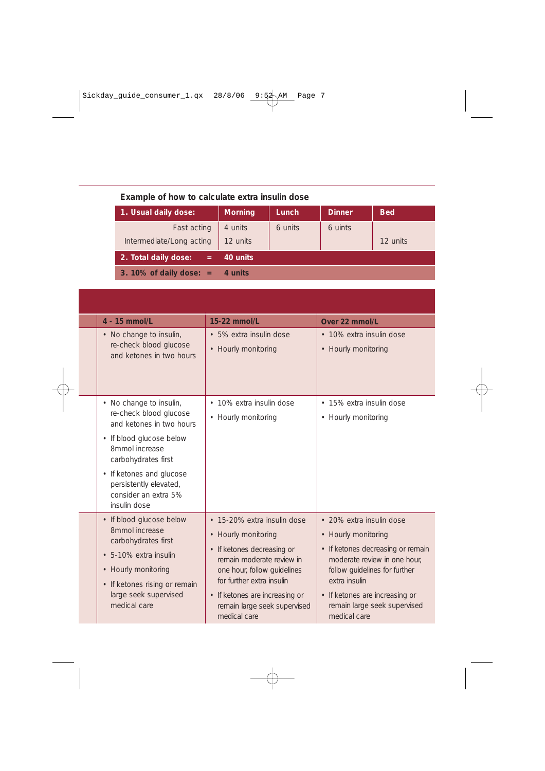| Example of how to calculate extra insulin dose |  |  |  |  |  |
|------------------------------------------------|--|--|--|--|--|
|------------------------------------------------|--|--|--|--|--|

| 1. Usual daily dose:        | <b>Morning</b> | Lunch   | <b>Dinner</b> | <b>Bed</b> |
|-----------------------------|----------------|---------|---------------|------------|
| Fast acting                 | 4 units        | 6 units | 6 uints       |            |
| Intermediate/Long acting    | 12 units       |         |               | 12 units   |
| 2. Total daily dose:<br>$=$ | 40 units       |         |               |            |
| 3. 10% of daily dose: $=$   | 4 units        |         |               |            |

| 4 - 15 mmol/L                                                                                                                                                                                                                                    | 15-22 mmol/L                                                                                                                                                                                                                                                | Over 22 mmol/L                                                                                                                                                                                                                                           |
|--------------------------------------------------------------------------------------------------------------------------------------------------------------------------------------------------------------------------------------------------|-------------------------------------------------------------------------------------------------------------------------------------------------------------------------------------------------------------------------------------------------------------|----------------------------------------------------------------------------------------------------------------------------------------------------------------------------------------------------------------------------------------------------------|
| • No change to insulin,<br>re-check blood glucose<br>and ketones in two hours                                                                                                                                                                    | · 5% extra insulin dose<br>• Hourly monitoring                                                                                                                                                                                                              | • 10% extra insulin dose<br>• Hourly monitoring                                                                                                                                                                                                          |
| • No change to insulin,<br>re-check blood glucose<br>and ketones in two hours<br>• If blood glucose below<br>8mmol increase<br>carbohydrates first<br>• If ketones and glucose<br>persistently elevated,<br>consider an extra 5%<br>insulin dose | • 10% extra insulin dose<br>• Hourly monitoring                                                                                                                                                                                                             | • 15% extra insulin dose<br>• Hourly monitoring                                                                                                                                                                                                          |
| • If blood glucose below<br>8mmol increase<br>carbohydrates first<br>· 5-10% extra insulin<br>• Hourly monitoring<br>• If ketones rising or remain<br>large seek supervised<br>medical care                                                      | • 15-20% extra insulin dose<br>• Hourly monitoring<br>• If ketones decreasing or<br>remain moderate review in<br>one hour, follow quidelines<br>for further extra insulin<br>• If ketones are increasing or<br>remain large seek supervised<br>medical care | • 20% extra insulin dose<br>• Hourly monitoring<br>• If ketones decreasing or remain<br>moderate review in one hour.<br>follow guidelines for further<br>extra insulin<br>• If ketones are increasing or<br>remain large seek supervised<br>medical care |